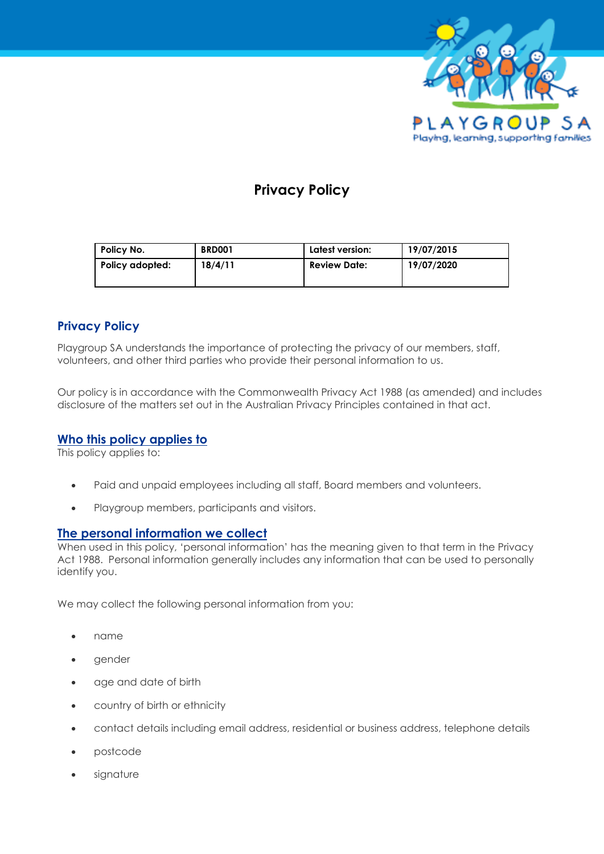

# **Privacy Policy**

| Policy No.      | <b>BRD001</b> | Latest version:     | 19/07/2015 |
|-----------------|---------------|---------------------|------------|
| Policy adopted: | 18/4/11       | <b>Review Date:</b> | 19/07/2020 |

# **Privacy Policy**

Playgroup SA understands the importance of protecting the privacy of our members, staff, volunteers, and other third parties who provide their personal information to us.

Our policy is in accordance with the Commonwealth Privacy Act 1988 (as amended) and includes disclosure of the matters set out in the Australian Privacy Principles contained in that act.

# **[Who this policy applies to](http://playgroupwa.com.au/about/privacy-policy/)**

This policy applies to:

- Paid and unpaid employees including all staff, Board members and volunteers.
- Playgroup members, participants and visitors.

### **[The personal information we collect](http://playgroupwa.com.au/about/privacy-policy/)**

When used in this policy, 'personal information' has the meaning given to that term in the Privacy Act 1988. Personal information generally includes any information that can be used to personally identify you.

We may collect the following personal information from you:

- name
- gender
- age and date of birth
- country of birth or ethnicity
- contact details including email address, residential or business address, telephone details
- postcode
- sianature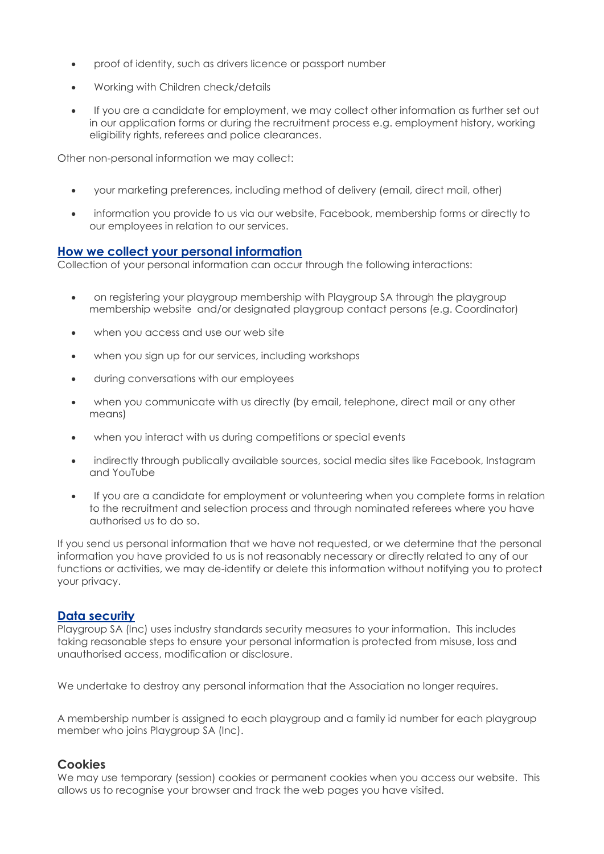- proof of identity, such as drivers licence or passport number
- Working with Children check/details
- If you are a candidate for employment, we may collect other information as further set out in our application forms or during the recruitment process e.g. employment history, working eligibility rights, referees and police clearances.

Other non-personal information we may collect:

- your marketing preferences, including method of delivery (email, direct mail, other)
- information you provide to us via our website, Facebook, membership forms or directly to our employees in relation to our services.

#### **[How we collect your personal information](http://playgroupwa.com.au/about/privacy-policy/)**

Collection of your personal information can occur through the following interactions:

- on registering your playgroup membership with Playgroup SA through the playgroup membership website and/or designated playgroup contact persons (e.g. Coordinator)
- when you access and use our web site
- when you sign up for our services, including workshops
- during conversations with our employees
- when you communicate with us directly (by email, telephone, direct mail or any other means)
- when you interact with us during competitions or special events
- indirectly through publically available sources, social media sites like Facebook, Instagram and YouTube
- If you are a candidate for employment or volunteering when you complete forms in relation to the recruitment and selection process and through nominated referees where you have authorised us to do so.

If you send us personal information that we have not requested, or we determine that the personal information you have provided to us is not reasonably necessary or directly related to any of our functions or activities, we may de-identify or delete this information without notifying you to protect your privacy.

### **[Data security](http://playgroupwa.com.au/about/privacy-policy/)**

Playgroup SA (Inc) uses industry standards security measures to your information. This includes taking reasonable steps to ensure your personal information is protected from misuse, loss and unauthorised access, modification or disclosure.

We undertake to destroy any personal information that the Association no longer requires.

A membership number is assigned to each playgroup and a family id number for each playgroup member who joins Playgroup SA (Inc).

# **Cookies**

We may use temporary (session) cookies or permanent cookies when you access our website. This allows us to recognise your browser and track the web pages you have visited.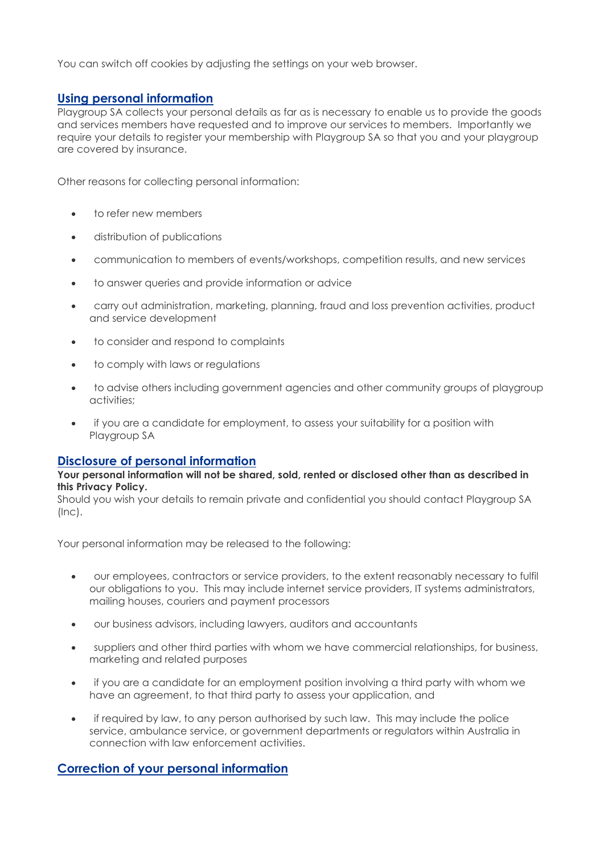You can switch off cookies by adjusting the settings on your web browser.

# **[Using personal information](http://playgroupwa.com.au/about/privacy-policy/)**

Playgroup SA collects your personal details as far as is necessary to enable us to provide the goods and services members have requested and to improve our services to members. Importantly we require your details to register your membership with Playgroup SA so that you and your playgroup are covered by insurance.

Other reasons for collecting personal information:

- to refer new members
- distribution of publications
- communication to members of events/workshops, competition results, and new services
- to answer queries and provide information or advice
- carry out administration, marketing, planning, fraud and loss prevention activities, product and service development
- to consider and respond to complaints
- to comply with laws or regulations
- to advise others including government agencies and other community groups of playgroup activities;
- if you are a candidate for employment, to assess your suitability for a position with Playgroup SA

### **[Disclosure of personal information](http://playgroupwa.com.au/about/privacy-policy/)**

#### **Your personal information will not be shared, sold, rented or disclosed other than as described in this Privacy Policy.**

Should you wish your details to remain private and confidential you should contact Playgroup SA (Inc).

Your personal information may be released to the following:

- our employees, contractors or service providers, to the extent reasonably necessary to fulfil our obligations to you. This may include internet service providers, IT systems administrators, mailing houses, couriers and payment processors
- our business advisors, including lawyers, auditors and accountants
- suppliers and other third parties with whom we have commercial relationships, for business, marketing and related purposes
- if you are a candidate for an employment position involving a third party with whom we have an agreement, to that third party to assess your application, and
- if required by law, to any person authorised by such law. This may include the police service, ambulance service, or government departments or regulators within Australia in connection with law enforcement activities.

# **[Correction of your personal information](http://playgroupwa.com.au/about/privacy-policy/)**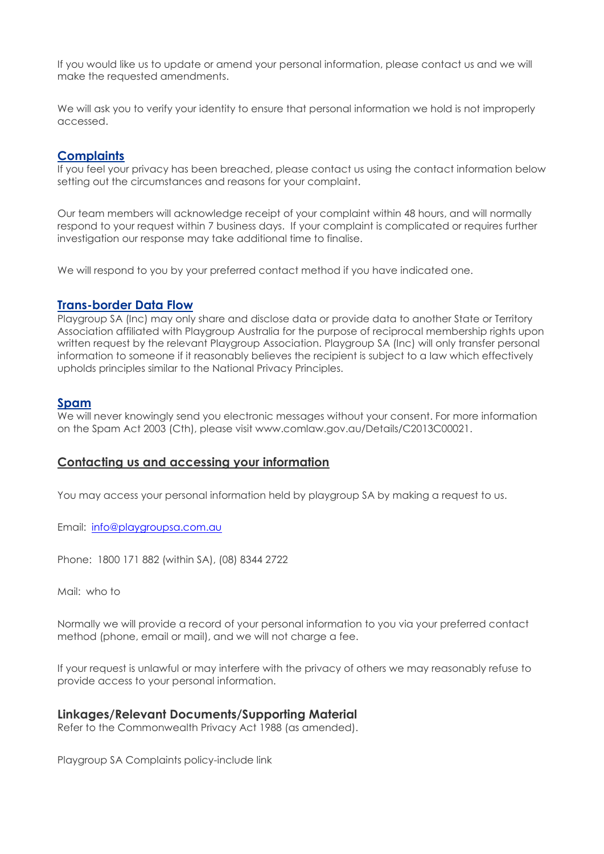If you would like us to update or amend your personal information, please contact us and we will make the requested amendments.

We will ask you to verify your identity to ensure that personal information we hold is not improperly accessed.

## **[Complaints](http://playgroupwa.com.au/about/privacy-policy/)**

If you feel your privacy has been breached, please contact us using the contact information below setting out the circumstances and reasons for your complaint.

Our team members will acknowledge receipt of your complaint within 48 hours, and will normally respond to your request within 7 business days. If your complaint is complicated or requires further investigation our response may take additional time to finalise.

We will respond to you by your preferred contact method if you have indicated one.

### **[Trans-border Data Flow](http://playgroupwa.com.au/about/privacy-policy/)**

Playgroup SA (Inc) may only share and disclose data or provide data to another State or Territory Association affiliated with Playgroup Australia for the purpose of reciprocal membership rights upon written request by the relevant Playgroup Association. Playgroup SA (Inc) will only transfer personal information to someone if it reasonably believes the recipient is subject to a law which effectively upholds principles similar to the National Privacy Principles.

### **[Spam](http://playgroupwa.com.au/about/privacy-policy/)**

We will never knowingly send you electronic messages without your consent. For more information on the Spam Act 2003 (Cth), please visit www.comlaw.gov.au/Details/C2013C00021.

# **Contacting us and accessing your information**

You may access your personal information held by playgroup SA by making a request to us.

Email: [info@playgroupsa.com.au](mailto:info@playgroupsa.com.au)

Phone: 1800 171 882 (within SA), (08) 8344 2722

Mail: who to

Normally we will provide a record of your personal information to you via your preferred contact method (phone, email or mail), and we will not charge a fee.

If your request is unlawful or may interfere with the privacy of others we may reasonably refuse to provide access to your personal information.

### **Linkages/Relevant Documents/Supporting Material**

Refer to the Commonwealth Privacy Act 1988 (as amended).

Playgroup SA Complaints policy-include link